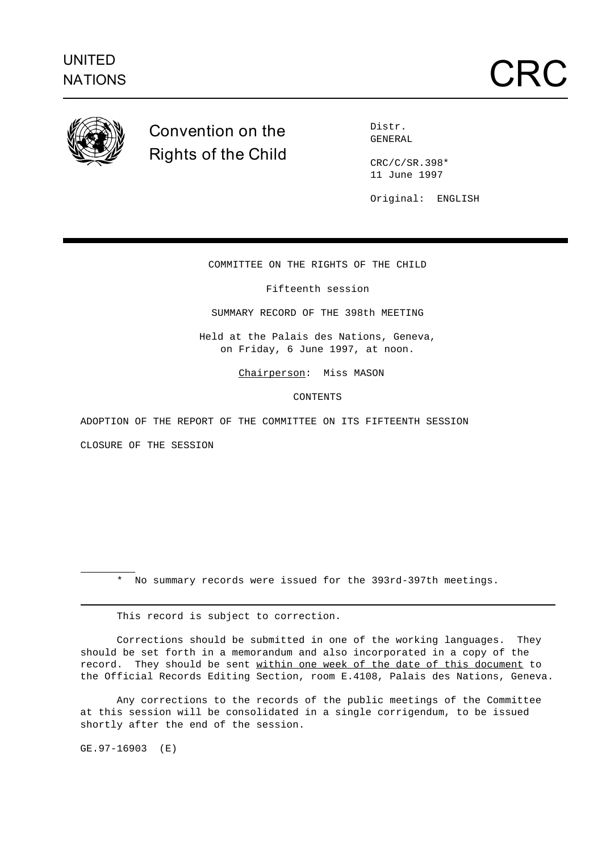

## **Convention on the Rights of the Child**

Distr. GENERAL

CRC/C/SR.398\* 11 June 1997

Original: ENGLISH

COMMITTEE ON THE RIGHTS OF THE CHILD

Fifteenth session

SUMMARY RECORD OF THE 398th MEETING

Held at the Palais des Nations, Geneva, on Friday, 6 June 1997, at noon.

Chairperson: Miss MASON

CONTENTS

ADOPTION OF THE REPORT OF THE COMMITTEE ON ITS FIFTEENTH SESSION

CLOSURE OF THE SESSION

\* No summary records were issued for the 393rd-397th meetings.

This record is subject to correction.

Corrections should be submitted in one of the working languages. They should be set forth in a memorandum and also incorporated in a copy of the record. They should be sent within one week of the date of this document to the Official Records Editing Section, room E.4108, Palais des Nations, Geneva.

Any corrections to the records of the public meetings of the Committee at this session will be consolidated in a single corrigendum, to be issued shortly after the end of the session.

GE.97-16903 (E)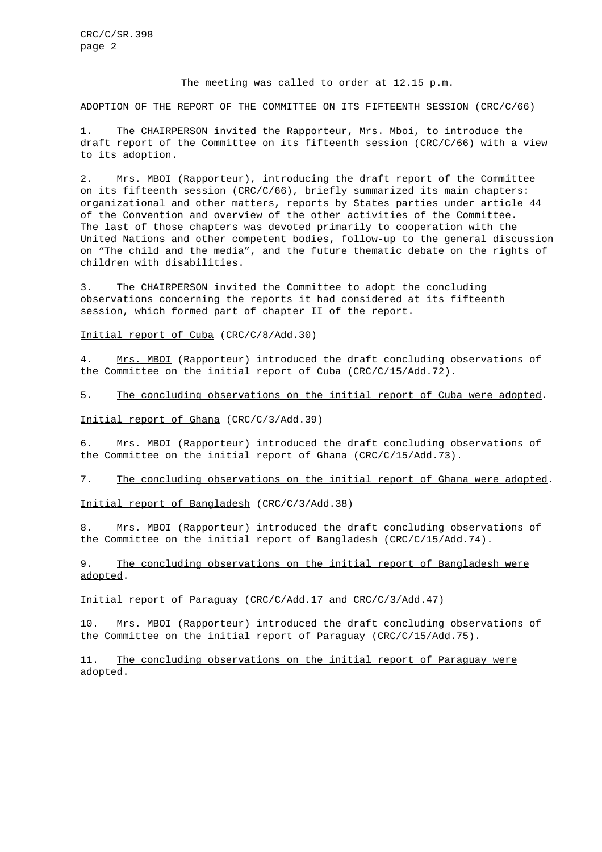## The meeting was called to order at 12.15 p.m.

ADOPTION OF THE REPORT OF THE COMMITTEE ON ITS FIFTEENTH SESSION (CRC/C/66)

1. The CHAIRPERSON invited the Rapporteur, Mrs. Mboi, to introduce the draft report of the Committee on its fifteenth session (CRC/C/66) with a view to its adoption.

2. Mrs. MBOI (Rapporteur), introducing the draft report of the Committee on its fifteenth session (CRC/C/66), briefly summarized its main chapters: organizational and other matters, reports by States parties under article 44 of the Convention and overview of the other activities of the Committee. The last of those chapters was devoted primarily to cooperation with the United Nations and other competent bodies, follow-up to the general discussion on "The child and the media", and the future thematic debate on the rights of children with disabilities.

3. The CHAIRPERSON invited the Committee to adopt the concluding observations concerning the reports it had considered at its fifteenth session, which formed part of chapter II of the report.

Initial report of Cuba (CRC/C/8/Add.30)

4. Mrs. MBOI (Rapporteur) introduced the draft concluding observations of the Committee on the initial report of Cuba (CRC/C/15/Add.72).

5. The concluding observations on the initial report of Cuba were adopted.

Initial report of Ghana (CRC/C/3/Add.39)

6. Mrs. MBOI (Rapporteur) introduced the draft concluding observations of the Committee on the initial report of Ghana (CRC/C/15/Add.73).

7. The concluding observations on the initial report of Ghana were adopted.

Initial report of Bangladesh (CRC/C/3/Add.38)

8. Mrs. MBOI (Rapporteur) introduced the draft concluding observations of the Committee on the initial report of Bangladesh (CRC/C/15/Add.74).

9. The concluding observations on the initial report of Bangladesh were adopted.

Initial report of Paraguay (CRC/C/Add.17 and CRC/C/3/Add.47)

10. Mrs. MBOI (Rapporteur) introduced the draft concluding observations of the Committee on the initial report of Paraguay (CRC/C/15/Add.75).

11. The concluding observations on the initial report of Paraguay were adopted.